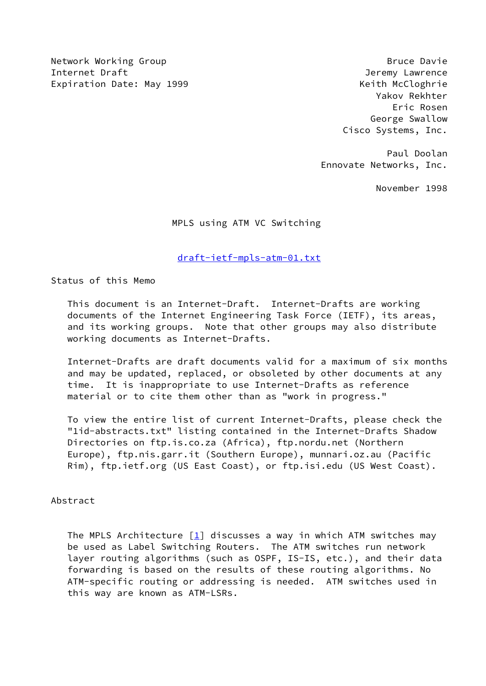Network Working Group **Bruce Davie** Bruce Davie Internet Draft **Gramma** and the set of the set of the set of the set of the set of the set of the set of the set of the set of the set of the set of the set of the set of the set of the set of the set of the set of the set Expiration Date: May 1999 **Keith McCloghrie** 

 Yakov Rekhter Eric Rosen George Swallow Cisco Systems, Inc.

 Paul Doolan Ennovate Networks, Inc.

November 1998

MPLS using ATM VC Switching

## [draft-ietf-mpls-atm-01.txt](https://datatracker.ietf.org/doc/pdf/draft-ietf-mpls-atm-01.txt)

Status of this Memo

 This document is an Internet-Draft. Internet-Drafts are working documents of the Internet Engineering Task Force (IETF), its areas, and its working groups. Note that other groups may also distribute working documents as Internet-Drafts.

 Internet-Drafts are draft documents valid for a maximum of six months and may be updated, replaced, or obsoleted by other documents at any time. It is inappropriate to use Internet-Drafts as reference material or to cite them other than as "work in progress."

 To view the entire list of current Internet-Drafts, please check the "1id-abstracts.txt" listing contained in the Internet-Drafts Shadow Directories on ftp.is.co.za (Africa), ftp.nordu.net (Northern Europe), ftp.nis.garr.it (Southern Europe), munnari.oz.au (Pacific Rim), ftp.ietf.org (US East Coast), or ftp.isi.edu (US West Coast).

#### Abstract

The MPLS Architecture  $\begin{bmatrix} 1 \end{bmatrix}$  discusses a way in which ATM switches may be used as Label Switching Routers. The ATM switches run network layer routing algorithms (such as OSPF, IS-IS, etc.), and their data forwarding is based on the results of these routing algorithms. No ATM-specific routing or addressing is needed. ATM switches used in this way are known as ATM-LSRs.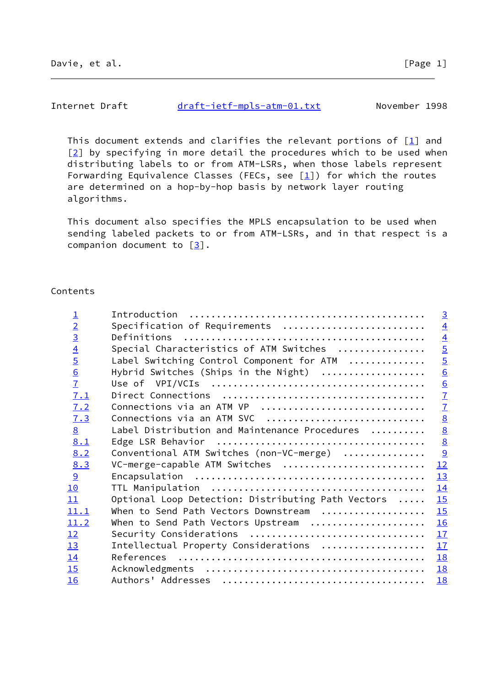# Internet Draft [draft-ietf-mpls-atm-01.txt](https://datatracker.ietf.org/doc/pdf/draft-ietf-mpls-atm-01.txt) November 1998

 This document extends and clarifies the relevant portions of [\[1\]](#page-19-0) and [\[2](#page-19-1)] by specifying in more detail the procedures which to be used when distributing labels to or from ATM-LSRs, when those labels represent Forwarding Equivalence Classes (FECs, see  $[1]$  $[1]$ ) for which the routes are determined on a hop-by-hop basis by network layer routing algorithms.

 This document also specifies the MPLS encapsulation to be used when sending labeled packets to or from ATM-LSRs, and in that respect is a companion document to  $[3]$  $[3]$ .

## Contents

| $\overline{\mathbf{1}}$ |                                                    | $\overline{3}$  |
|-------------------------|----------------------------------------------------|-----------------|
| $\overline{2}$          | Specification of Requirements                      | $\overline{4}$  |
| $\overline{3}$          | Definitions                                        | $\overline{4}$  |
| $\overline{4}$          | Special Characteristics of ATM Switches            | $\overline{5}$  |
| $\overline{5}$          | Label Switching Control Component for ATM          |                 |
| $\overline{6}$          | Hybrid Switches (Ships in the Night)               | $rac{5}{6}$     |
| $\overline{1}$          |                                                    | $\frac{6}{7}$   |
| 7.1                     |                                                    |                 |
| 7.2                     | Connections via an ATM VP                          | $\overline{1}$  |
| 7.3                     | Connections via an ATM SVC                         | $\underline{8}$ |
| $\underline{8}$         | Label Distribution and Maintenance Procedures      | $\underline{8}$ |
| 8.1                     |                                                    | $\underline{8}$ |
| 8.2                     | Conventional ATM Switches (non-VC-merge)           | $\frac{9}{2}$   |
| 8.3                     | VC-merge-capable ATM Switches                      | 12              |
| 9                       |                                                    | 13              |
| 10                      |                                                    | 14              |
| 11                      | Optional Loop Detection: Distributing Path Vectors | 15              |
| 11.1                    | When to Send Path Vectors Downstream               | 15              |
| 11.2                    | When to Send Path Vectors Upstream                 | 16              |
| 12                      | Security Considerations                            | 17              |
| 13                      | Intellectual Property Considerations               | 17              |
| 14                      |                                                    | 18              |
| 15                      |                                                    | 18              |
| 16                      |                                                    | 18              |
|                         |                                                    |                 |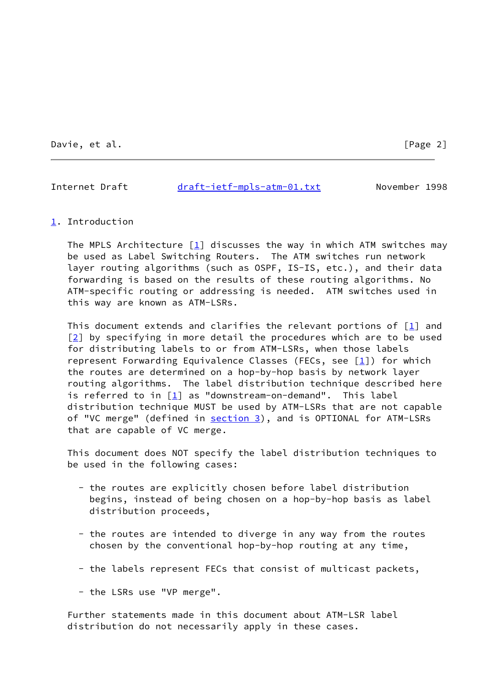Davie, et al. [Page 2]

<span id="page-2-1"></span>Internet Draft [draft-ietf-mpls-atm-01.txt](https://datatracker.ietf.org/doc/pdf/draft-ietf-mpls-atm-01.txt) November 1998

#### <span id="page-2-0"></span>[1](#page-2-0). Introduction

The MPLS Architecture  $[1]$  $[1]$  discusses the way in which ATM switches may be used as Label Switching Routers. The ATM switches run network layer routing algorithms (such as OSPF, IS-IS, etc.), and their data forwarding is based on the results of these routing algorithms. No ATM-specific routing or addressing is needed. ATM switches used in this way are known as ATM-LSRs.

This document extends and clarifies the relevant portions of  $\boxed{1}$  and  $[2]$  $[2]$  by specifying in more detail the procedures which are to be used for distributing labels to or from ATM-LSRs, when those labels represent Forwarding Equivalence Classes (FECs, see  $[1]$  $[1]$ ) for which the routes are determined on a hop-by-hop basis by network layer routing algorithms. The label distribution technique described here is referred to in [[1\]](#page-19-0) as "downstream-on-demand". This label distribution technique MUST be used by ATM-LSRs that are not capable of "VC merge" (defined in [section 3\)](#page-3-2), and is OPTIONAL for ATM-LSRs that are capable of VC merge.

 This document does NOT specify the label distribution techniques to be used in the following cases:

- the routes are explicitly chosen before label distribution begins, instead of being chosen on a hop-by-hop basis as label distribution proceeds,
- the routes are intended to diverge in any way from the routes chosen by the conventional hop-by-hop routing at any time,
- the labels represent FECs that consist of multicast packets,
- the LSRs use "VP merge".

 Further statements made in this document about ATM-LSR label distribution do not necessarily apply in these cases.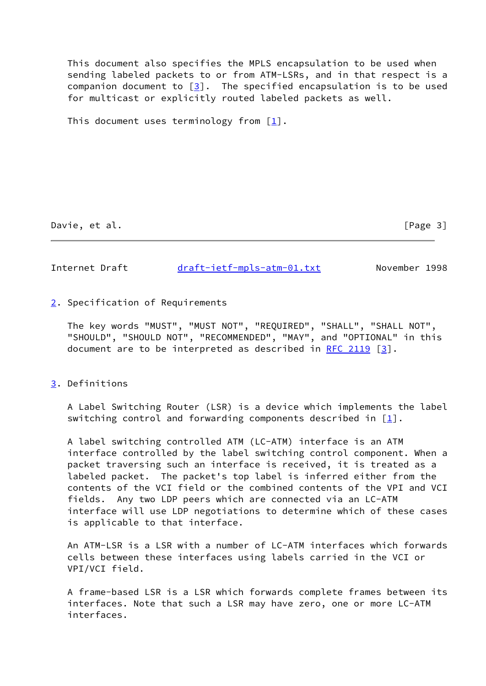This document also specifies the MPLS encapsulation to be used when sending labeled packets to or from ATM-LSRs, and in that respect is a companion document to  $[3]$  $[3]$ . The specified encapsulation is to be used for multicast or explicitly routed labeled packets as well.

This document uses terminology from  $\lceil 1 \rceil$ .

Davie, et al. [Page 3]

<span id="page-3-1"></span>Internet Draft [draft-ietf-mpls-atm-01.txt](https://datatracker.ietf.org/doc/pdf/draft-ietf-mpls-atm-01.txt) November 1998

<span id="page-3-0"></span>[2](#page-3-0). Specification of Requirements

 The key words "MUST", "MUST NOT", "REQUIRED", "SHALL", "SHALL NOT", "SHOULD", "SHOULD NOT", "RECOMMENDED", "MAY", and "OPTIONAL" in this document are to be interpreted as described in [RFC 2119](https://datatracker.ietf.org/doc/pdf/rfc2119) [\[3](#page-19-2)].

### <span id="page-3-2"></span>[3](#page-3-2). Definitions

 A Label Switching Router (LSR) is a device which implements the label switching control and forwarding components described in  $[\underline{1}]$ .

 A label switching controlled ATM (LC-ATM) interface is an ATM interface controlled by the label switching control component. When a packet traversing such an interface is received, it is treated as a labeled packet. The packet's top label is inferred either from the contents of the VCI field or the combined contents of the VPI and VCI fields. Any two LDP peers which are connected via an LC-ATM interface will use LDP negotiations to determine which of these cases is applicable to that interface.

 An ATM-LSR is a LSR with a number of LC-ATM interfaces which forwards cells between these interfaces using labels carried in the VCI or VPI/VCI field.

 A frame-based LSR is a LSR which forwards complete frames between its interfaces. Note that such a LSR may have zero, one or more LC-ATM interfaces.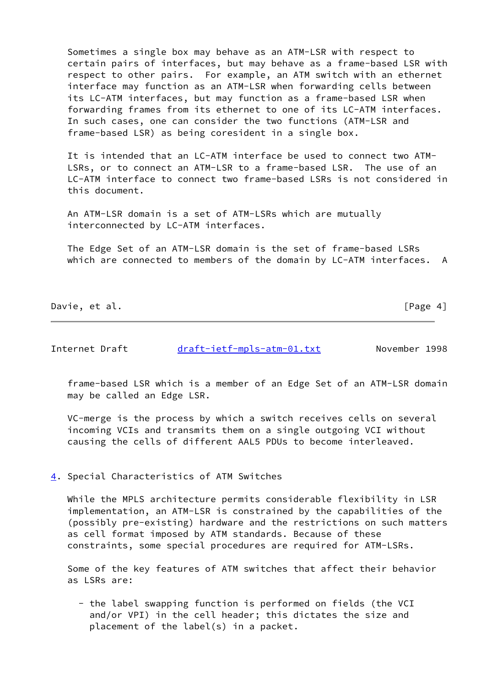Sometimes a single box may behave as an ATM-LSR with respect to certain pairs of interfaces, but may behave as a frame-based LSR with respect to other pairs. For example, an ATM switch with an ethernet interface may function as an ATM-LSR when forwarding cells between its LC-ATM interfaces, but may function as a frame-based LSR when forwarding frames from its ethernet to one of its LC-ATM interfaces. In such cases, one can consider the two functions (ATM-LSR and frame-based LSR) as being coresident in a single box.

 It is intended that an LC-ATM interface be used to connect two ATM- LSRs, or to connect an ATM-LSR to a frame-based LSR. The use of an LC-ATM interface to connect two frame-based LSRs is not considered in this document.

 An ATM-LSR domain is a set of ATM-LSRs which are mutually interconnected by LC-ATM interfaces.

 The Edge Set of an ATM-LSR domain is the set of frame-based LSRs which are connected to members of the domain by LC-ATM interfaces. A

Davie, et al. [Page 4]

<span id="page-4-1"></span>Internet Draft [draft-ietf-mpls-atm-01.txt](https://datatracker.ietf.org/doc/pdf/draft-ietf-mpls-atm-01.txt) November 1998

 frame-based LSR which is a member of an Edge Set of an ATM-LSR domain may be called an Edge LSR.

 VC-merge is the process by which a switch receives cells on several incoming VCIs and transmits them on a single outgoing VCI without causing the cells of different AAL5 PDUs to become interleaved.

<span id="page-4-0"></span>[4](#page-4-0). Special Characteristics of ATM Switches

 While the MPLS architecture permits considerable flexibility in LSR implementation, an ATM-LSR is constrained by the capabilities of the (possibly pre-existing) hardware and the restrictions on such matters as cell format imposed by ATM standards. Because of these constraints, some special procedures are required for ATM-LSRs.

 Some of the key features of ATM switches that affect their behavior as LSRs are:

 - the label swapping function is performed on fields (the VCI and/or VPI) in the cell header; this dictates the size and placement of the label(s) in a packet.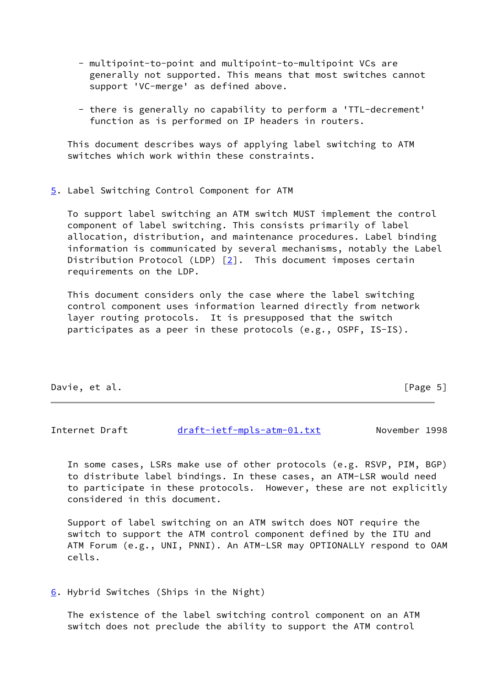- multipoint-to-point and multipoint-to-multipoint VCs are generally not supported. This means that most switches cannot support 'VC-merge' as defined above.
- there is generally no capability to perform a 'TTL-decrement' function as is performed on IP headers in routers.

 This document describes ways of applying label switching to ATM switches which work within these constraints.

#### <span id="page-5-0"></span>[5](#page-5-0). Label Switching Control Component for ATM

 To support label switching an ATM switch MUST implement the control component of label switching. This consists primarily of label allocation, distribution, and maintenance procedures. Label binding information is communicated by several mechanisms, notably the Label Distribution Protocol (LDP)  $[2]$  $[2]$ . This document imposes certain requirements on the LDP.

 This document considers only the case where the label switching control component uses information learned directly from network layer routing protocols. It is presupposed that the switch participates as a peer in these protocols (e.g., OSPF, IS-IS).

## Davie, et al. [Page 5]

<span id="page-5-2"></span>Internet Draft [draft-ietf-mpls-atm-01.txt](https://datatracker.ietf.org/doc/pdf/draft-ietf-mpls-atm-01.txt) November 1998

 In some cases, LSRs make use of other protocols (e.g. RSVP, PIM, BGP) to distribute label bindings. In these cases, an ATM-LSR would need to participate in these protocols. However, these are not explicitly considered in this document.

 Support of label switching on an ATM switch does NOT require the switch to support the ATM control component defined by the ITU and ATM Forum (e.g., UNI, PNNI). An ATM-LSR may OPTIONALLY respond to OAM cells.

<span id="page-5-1"></span>[6](#page-5-1). Hybrid Switches (Ships in the Night)

 The existence of the label switching control component on an ATM switch does not preclude the ability to support the ATM control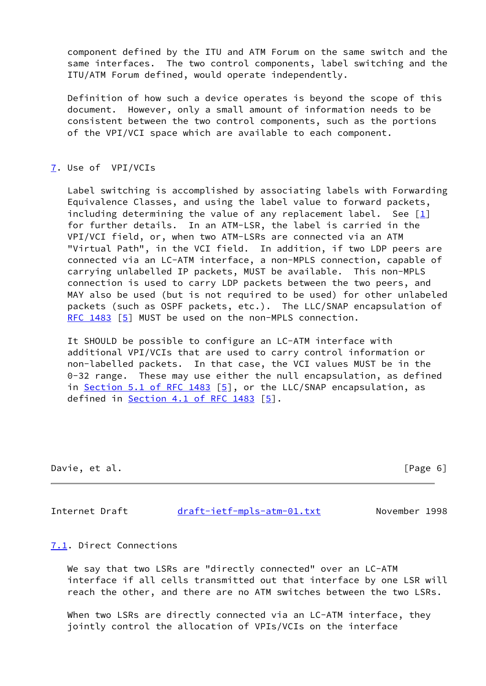component defined by the ITU and ATM Forum on the same switch and the same interfaces. The two control components, label switching and the ITU/ATM Forum defined, would operate independently.

 Definition of how such a device operates is beyond the scope of this document. However, only a small amount of information needs to be consistent between the two control components, such as the portions of the VPI/VCI space which are available to each component.

### <span id="page-6-0"></span>[7](#page-6-0). Use of VPI/VCIs

 Label switching is accomplished by associating labels with Forwarding Equivalence Classes, and using the label value to forward packets, including determining the value of any replacement label. See  $[1]$  $[1]$  for further details. In an ATM-LSR, the label is carried in the VPI/VCI field, or, when two ATM-LSRs are connected via an ATM "Virtual Path", in the VCI field. In addition, if two LDP peers are connected via an LC-ATM interface, a non-MPLS connection, capable of carrying unlabelled IP packets, MUST be available. This non-MPLS connection is used to carry LDP packets between the two peers, and MAY also be used (but is not required to be used) for other unlabeled packets (such as OSPF packets, etc.). The LLC/SNAP encapsulation of [RFC 1483](https://datatracker.ietf.org/doc/pdf/rfc1483) [\[5\]](#page-19-7) MUST be used on the non-MPLS connection.

 It SHOULD be possible to configure an LC-ATM interface with additional VPI/VCIs that are used to carry control information or non-labelled packets. In that case, the VCI values MUST be in the 0-32 range. These may use either the null encapsulation, as defined in Section [5.1 of RFC 1483](https://datatracker.ietf.org/doc/pdf/rfc1483#section-5.1) [[5\]](#page-19-7), or the LLC/SNAP encapsulation, as defined in  $Section 4.1$  of RFC 1483  $[5]$  $[5]$ .

Davie, et al. [Page 6]

<span id="page-6-2"></span>

Internet Draft [draft-ietf-mpls-atm-01.txt](https://datatracker.ietf.org/doc/pdf/draft-ietf-mpls-atm-01.txt) November 1998

<span id="page-6-1"></span>[7.1](#page-6-1). Direct Connections

We say that two LSRs are "directly connected" over an LC-ATM interface if all cells transmitted out that interface by one LSR will reach the other, and there are no ATM switches between the two LSRs.

 When two LSRs are directly connected via an LC-ATM interface, they jointly control the allocation of VPIs/VCIs on the interface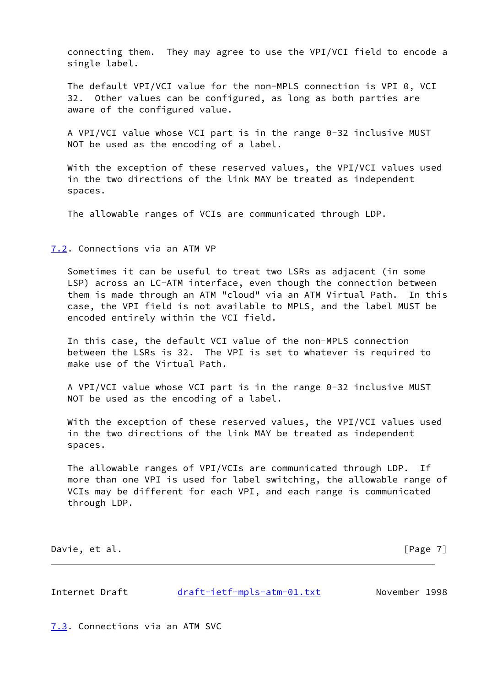connecting them. They may agree to use the VPI/VCI field to encode a single label.

 The default VPI/VCI value for the non-MPLS connection is VPI 0, VCI 32. Other values can be configured, as long as both parties are aware of the configured value.

 A VPI/VCI value whose VCI part is in the range 0-32 inclusive MUST NOT be used as the encoding of a label.

 With the exception of these reserved values, the VPI/VCI values used in the two directions of the link MAY be treated as independent spaces.

The allowable ranges of VCIs are communicated through LDP.

<span id="page-7-0"></span>[7.2](#page-7-0). Connections via an ATM VP

 Sometimes it can be useful to treat two LSRs as adjacent (in some LSP) across an LC-ATM interface, even though the connection between them is made through an ATM "cloud" via an ATM Virtual Path. In this case, the VPI field is not available to MPLS, and the label MUST be encoded entirely within the VCI field.

 In this case, the default VCI value of the non-MPLS connection between the LSRs is 32. The VPI is set to whatever is required to make use of the Virtual Path.

 A VPI/VCI value whose VCI part is in the range 0-32 inclusive MUST NOT be used as the encoding of a label.

 With the exception of these reserved values, the VPI/VCI values used in the two directions of the link MAY be treated as independent spaces.

 The allowable ranges of VPI/VCIs are communicated through LDP. If more than one VPI is used for label switching, the allowable range of VCIs may be different for each VPI, and each range is communicated through LDP.

Davie, et al. [Page 7]

<span id="page-7-2"></span>Internet Draft [draft-ietf-mpls-atm-01.txt](https://datatracker.ietf.org/doc/pdf/draft-ietf-mpls-atm-01.txt) November 1998

<span id="page-7-1"></span>[7.3](#page-7-1). Connections via an ATM SVC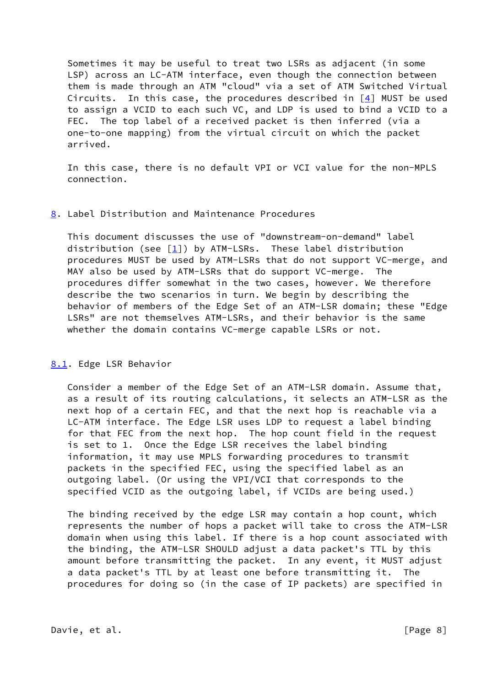Sometimes it may be useful to treat two LSRs as adjacent (in some LSP) across an LC-ATM interface, even though the connection between them is made through an ATM "cloud" via a set of ATM Switched Virtual Circuits. In this case, the procedures described in  $[4]$  MUST be used to assign a VCID to each such VC, and LDP is used to bind a VCID to a FEC. The top label of a received packet is then inferred (via a one-to-one mapping) from the virtual circuit on which the packet arrived.

 In this case, there is no default VPI or VCI value for the non-MPLS connection.

## <span id="page-8-0"></span>[8](#page-8-0). Label Distribution and Maintenance Procedures

 This document discusses the use of "downstream-on-demand" label distribution (see  $\lceil 1 \rceil$ ) by ATM-LSRs. These label distribution procedures MUST be used by ATM-LSRs that do not support VC-merge, and MAY also be used by ATM-LSRs that do support VC-merge. The procedures differ somewhat in the two cases, however. We therefore describe the two scenarios in turn. We begin by describing the behavior of members of the Edge Set of an ATM-LSR domain; these "Edge LSRs" are not themselves ATM-LSRs, and their behavior is the same whether the domain contains VC-merge capable LSRs or not.

# <span id="page-8-1"></span>[8.1](#page-8-1). Edge LSR Behavior

Consider a member of the Edge Set of an ATM-LSR domain. Assume that, as a result of its routing calculations, it selects an ATM-LSR as the next hop of a certain FEC, and that the next hop is reachable via a LC-ATM interface. The Edge LSR uses LDP to request a label binding for that FEC from the next hop. The hop count field in the request is set to 1. Once the Edge LSR receives the label binding information, it may use MPLS forwarding procedures to transmit packets in the specified FEC, using the specified label as an outgoing label. (Or using the VPI/VCI that corresponds to the specified VCID as the outgoing label, if VCIDs are being used.)

 The binding received by the edge LSR may contain a hop count, which represents the number of hops a packet will take to cross the ATM-LSR domain when using this label. If there is a hop count associated with the binding, the ATM-LSR SHOULD adjust a data packet's TTL by this amount before transmitting the packet. In any event, it MUST adjust a data packet's TTL by at least one before transmitting it. The procedures for doing so (in the case of IP packets) are specified in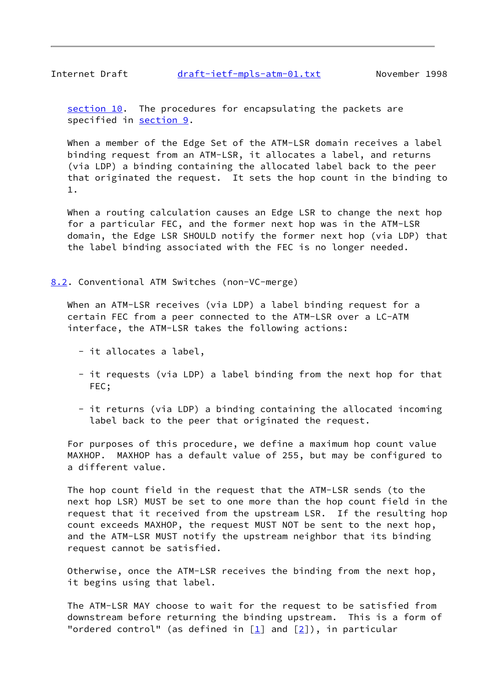<span id="page-9-1"></span>Internet Draft [draft-ietf-mpls-atm-01.txt](https://datatracker.ietf.org/doc/pdf/draft-ietf-mpls-atm-01.txt) November 1998

[section 10](#page-15-0). The procedures for encapsulating the packets are specified in [section 9](#page-13-0).

When a member of the Edge Set of the ATM-LSR domain receives a label binding request from an ATM-LSR, it allocates a label, and returns (via LDP) a binding containing the allocated label back to the peer that originated the request. It sets the hop count in the binding to 1.

 When a routing calculation causes an Edge LSR to change the next hop for a particular FEC, and the former next hop was in the ATM-LSR domain, the Edge LSR SHOULD notify the former next hop (via LDP) that the label binding associated with the FEC is no longer needed.

<span id="page-9-0"></span>[8.2](#page-9-0). Conventional ATM Switches (non-VC-merge)

 When an ATM-LSR receives (via LDP) a label binding request for a certain FEC from a peer connected to the ATM-LSR over a LC-ATM interface, the ATM-LSR takes the following actions:

- it allocates a label,
- it requests (via LDP) a label binding from the next hop for that FEC;
- it returns (via LDP) a binding containing the allocated incoming label back to the peer that originated the request.

 For purposes of this procedure, we define a maximum hop count value MAXHOP. MAXHOP has a default value of 255, but may be configured to a different value.

 The hop count field in the request that the ATM-LSR sends (to the next hop LSR) MUST be set to one more than the hop count field in the request that it received from the upstream LSR. If the resulting hop count exceeds MAXHOP, the request MUST NOT be sent to the next hop, and the ATM-LSR MUST notify the upstream neighbor that its binding request cannot be satisfied.

 Otherwise, once the ATM-LSR receives the binding from the next hop, it begins using that label.

 The ATM-LSR MAY choose to wait for the request to be satisfied from downstream before returning the binding upstream. This is a form of "ordered control" (as defined in  $[1]$  and  $[2]$ ), in particular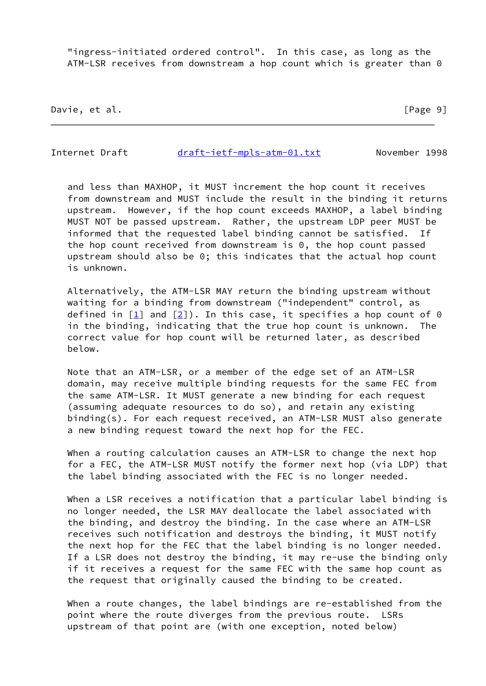"ingress-initiated ordered control". In this case, as long as the ATM-LSR receives from downstream a hop count which is greater than 0

Davie, et al. [Page 9]

Internet Draft [draft-ietf-mpls-atm-01.txt](https://datatracker.ietf.org/doc/pdf/draft-ietf-mpls-atm-01.txt) November 1998

 and less than MAXHOP, it MUST increment the hop count it receives from downstream and MUST include the result in the binding it returns upstream. However, if the hop count exceeds MAXHOP, a label binding MUST NOT be passed upstream. Rather, the upstream LDP peer MUST be informed that the requested label binding cannot be satisfied. If the hop count received from downstream is 0, the hop count passed upstream should also be 0; this indicates that the actual hop count is unknown.

 Alternatively, the ATM-LSR MAY return the binding upstream without waiting for a binding from downstream ("independent" control, as defined in  $\boxed{1}$  and  $\boxed{2}$ ). In this case, it specifies a hop count of 0 in the binding, indicating that the true hop count is unknown. The correct value for hop count will be returned later, as described below.

 Note that an ATM-LSR, or a member of the edge set of an ATM-LSR domain, may receive multiple binding requests for the same FEC from the same ATM-LSR. It MUST generate a new binding for each request (assuming adequate resources to do so), and retain any existing binding(s). For each request received, an ATM-LSR MUST also generate a new binding request toward the next hop for the FEC.

 When a routing calculation causes an ATM-LSR to change the next hop for a FEC, the ATM-LSR MUST notify the former next hop (via LDP) that the label binding associated with the FEC is no longer needed.

When a LSR receives a notification that a particular label binding is no longer needed, the LSR MAY deallocate the label associated with the binding, and destroy the binding. In the case where an ATM-LSR receives such notification and destroys the binding, it MUST notify the next hop for the FEC that the label binding is no longer needed. If a LSR does not destroy the binding, it may re-use the binding only if it receives a request for the same FEC with the same hop count as the request that originally caused the binding to be created.

 When a route changes, the label bindings are re-established from the point where the route diverges from the previous route. LSRs upstream of that point are (with one exception, noted below)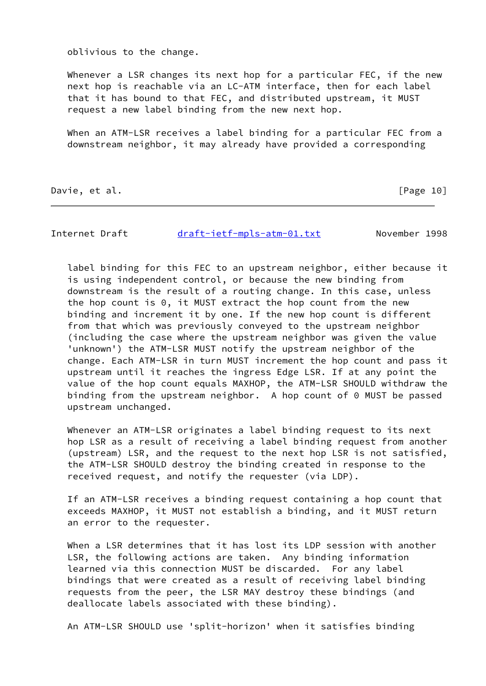oblivious to the change.

Whenever a LSR changes its next hop for a particular FEC, if the new next hop is reachable via an LC-ATM interface, then for each label that it has bound to that FEC, and distributed upstream, it MUST request a new label binding from the new next hop.

 When an ATM-LSR receives a label binding for a particular FEC from a downstream neighbor, it may already have provided a corresponding

Davie, et al. [Page 10]

Internet Draft [draft-ietf-mpls-atm-01.txt](https://datatracker.ietf.org/doc/pdf/draft-ietf-mpls-atm-01.txt) November 1998

 label binding for this FEC to an upstream neighbor, either because it is using independent control, or because the new binding from downstream is the result of a routing change. In this case, unless the hop count is 0, it MUST extract the hop count from the new binding and increment it by one. If the new hop count is different from that which was previously conveyed to the upstream neighbor (including the case where the upstream neighbor was given the value 'unknown') the ATM-LSR MUST notify the upstream neighbor of the change. Each ATM-LSR in turn MUST increment the hop count and pass it upstream until it reaches the ingress Edge LSR. If at any point the value of the hop count equals MAXHOP, the ATM-LSR SHOULD withdraw the binding from the upstream neighbor. A hop count of 0 MUST be passed upstream unchanged.

 Whenever an ATM-LSR originates a label binding request to its next hop LSR as a result of receiving a label binding request from another (upstream) LSR, and the request to the next hop LSR is not satisfied, the ATM-LSR SHOULD destroy the binding created in response to the received request, and notify the requester (via LDP).

 If an ATM-LSR receives a binding request containing a hop count that exceeds MAXHOP, it MUST not establish a binding, and it MUST return an error to the requester.

 When a LSR determines that it has lost its LDP session with another LSR, the following actions are taken. Any binding information learned via this connection MUST be discarded. For any label bindings that were created as a result of receiving label binding requests from the peer, the LSR MAY destroy these bindings (and deallocate labels associated with these binding).

An ATM-LSR SHOULD use 'split-horizon' when it satisfies binding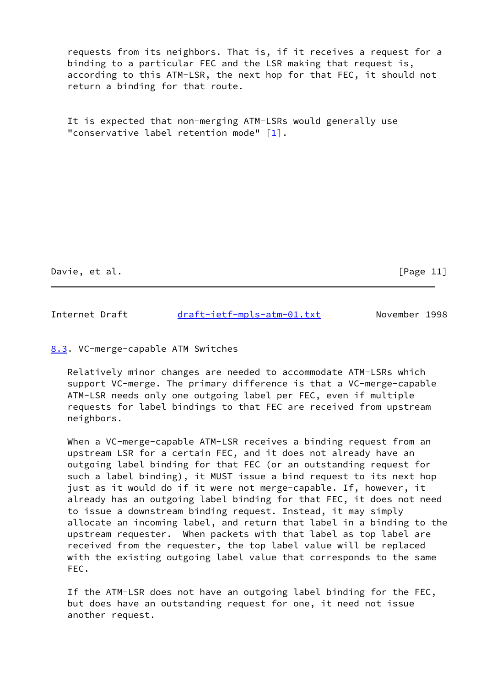requests from its neighbors. That is, if it receives a request for a binding to a particular FEC and the LSR making that request is, according to this ATM-LSR, the next hop for that FEC, it should not return a binding for that route.

 It is expected that non-merging ATM-LSRs would generally use "conservative label retention mode" [\[1](#page-19-0)].

Davie, et al. [Page 11]

<span id="page-12-1"></span>Internet Draft [draft-ietf-mpls-atm-01.txt](https://datatracker.ietf.org/doc/pdf/draft-ietf-mpls-atm-01.txt) November 1998

## <span id="page-12-0"></span>[8.3](#page-12-0). VC-merge-capable ATM Switches

 Relatively minor changes are needed to accommodate ATM-LSRs which support VC-merge. The primary difference is that a VC-merge-capable ATM-LSR needs only one outgoing label per FEC, even if multiple requests for label bindings to that FEC are received from upstream neighbors.

 When a VC-merge-capable ATM-LSR receives a binding request from an upstream LSR for a certain FEC, and it does not already have an outgoing label binding for that FEC (or an outstanding request for such a label binding), it MUST issue a bind request to its next hop just as it would do if it were not merge-capable. If, however, it already has an outgoing label binding for that FEC, it does not need to issue a downstream binding request. Instead, it may simply allocate an incoming label, and return that label in a binding to the upstream requester. When packets with that label as top label are received from the requester, the top label value will be replaced with the existing outgoing label value that corresponds to the same FEC.

 If the ATM-LSR does not have an outgoing label binding for the FEC, but does have an outstanding request for one, it need not issue another request.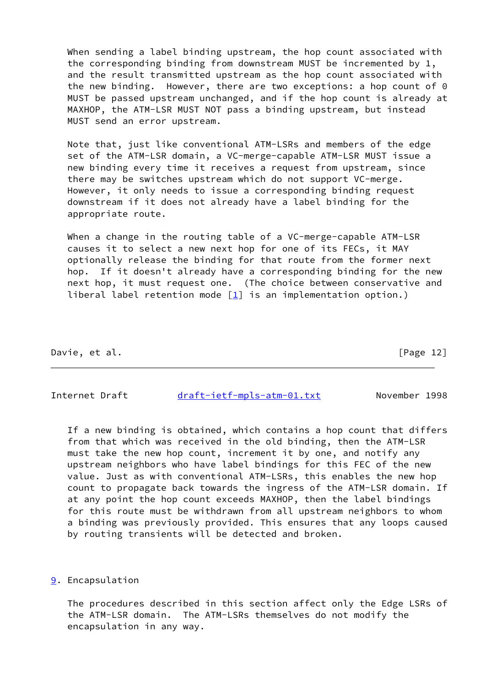When sending a label binding upstream, the hop count associated with the corresponding binding from downstream MUST be incremented by 1, and the result transmitted upstream as the hop count associated with the new binding. However, there are two exceptions: a hop count of 0 MUST be passed upstream unchanged, and if the hop count is already at MAXHOP, the ATM-LSR MUST NOT pass a binding upstream, but instead MUST send an error upstream.

 Note that, just like conventional ATM-LSRs and members of the edge set of the ATM-LSR domain, a VC-merge-capable ATM-LSR MUST issue a new binding every time it receives a request from upstream, since there may be switches upstream which do not support VC-merge. However, it only needs to issue a corresponding binding request downstream if it does not already have a label binding for the appropriate route.

When a change in the routing table of a VC-merge-capable ATM-LSR causes it to select a new next hop for one of its FECs, it MAY optionally release the binding for that route from the former next hop. If it doesn't already have a corresponding binding for the new next hop, it must request one. (The choice between conservative and liberal label retention mode  $[1]$  is an implementation option.)

Davie, et al. [Page 12]

<span id="page-13-1"></span>Internet Draft [draft-ietf-mpls-atm-01.txt](https://datatracker.ietf.org/doc/pdf/draft-ietf-mpls-atm-01.txt) November 1998

 If a new binding is obtained, which contains a hop count that differs from that which was received in the old binding, then the ATM-LSR must take the new hop count, increment it by one, and notify any upstream neighbors who have label bindings for this FEC of the new value. Just as with conventional ATM-LSRs, this enables the new hop count to propagate back towards the ingress of the ATM-LSR domain. If at any point the hop count exceeds MAXHOP, then the label bindings for this route must be withdrawn from all upstream neighbors to whom a binding was previously provided. This ensures that any loops caused by routing transients will be detected and broken.

## <span id="page-13-0"></span>[9](#page-13-0). Encapsulation

 The procedures described in this section affect only the Edge LSRs of the ATM-LSR domain. The ATM-LSRs themselves do not modify the encapsulation in any way.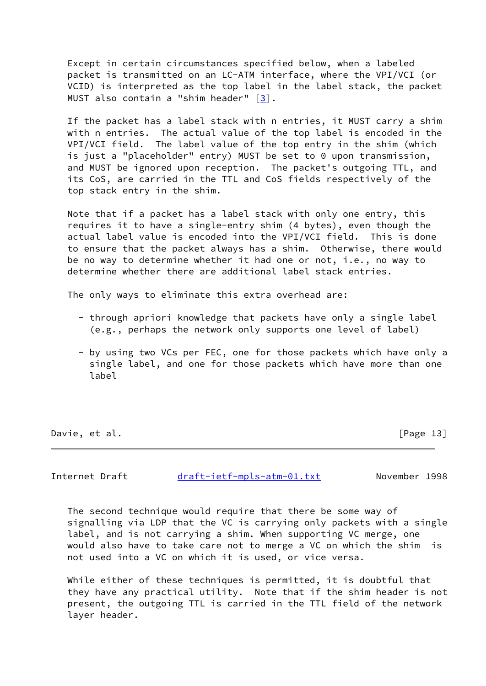Except in certain circumstances specified below, when a labeled packet is transmitted on an LC-ATM interface, where the VPI/VCI (or VCID) is interpreted as the top label in the label stack, the packet MUST also contain a "shim header"  $[3]$  $[3]$ .

 If the packet has a label stack with n entries, it MUST carry a shim with n entries. The actual value of the top label is encoded in the VPI/VCI field. The label value of the top entry in the shim (which is just a "placeholder" entry) MUST be set to 0 upon transmission, and MUST be ignored upon reception. The packet's outgoing TTL, and its CoS, are carried in the TTL and CoS fields respectively of the top stack entry in the shim.

 Note that if a packet has a label stack with only one entry, this requires it to have a single-entry shim (4 bytes), even though the actual label value is encoded into the VPI/VCI field. This is done to ensure that the packet always has a shim. Otherwise, there would be no way to determine whether it had one or not, i.e., no way to determine whether there are additional label stack entries.

The only ways to eliminate this extra overhead are:

- through apriori knowledge that packets have only a single label (e.g., perhaps the network only supports one level of label)
- by using two VCs per FEC, one for those packets which have only a single label, and one for those packets which have more than one label

Davie, et al. [Page 13]

<span id="page-14-0"></span>Internet Draft [draft-ietf-mpls-atm-01.txt](https://datatracker.ietf.org/doc/pdf/draft-ietf-mpls-atm-01.txt) November 1998

 The second technique would require that there be some way of signalling via LDP that the VC is carrying only packets with a single label, and is not carrying a shim. When supporting VC merge, one would also have to take care not to merge a VC on which the shim is not used into a VC on which it is used, or vice versa.

 While either of these techniques is permitted, it is doubtful that they have any practical utility. Note that if the shim header is not present, the outgoing TTL is carried in the TTL field of the network layer header.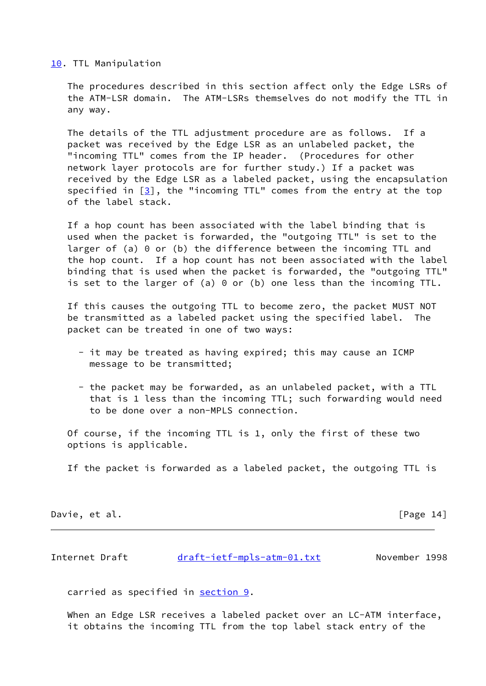#### <span id="page-15-0"></span>[10.](#page-15-0) TTL Manipulation

 The procedures described in this section affect only the Edge LSRs of the ATM-LSR domain. The ATM-LSRs themselves do not modify the TTL in any way.

 The details of the TTL adjustment procedure are as follows. If a packet was received by the Edge LSR as an unlabeled packet, the "incoming TTL" comes from the IP header. (Procedures for other network layer protocols are for further study.) If a packet was received by the Edge LSR as a labeled packet, using the encapsulation specified in  $[3]$ , the "incoming TTL" comes from the entry at the top of the label stack.

 If a hop count has been associated with the label binding that is used when the packet is forwarded, the "outgoing TTL" is set to the larger of (a) 0 or (b) the difference between the incoming TTL and the hop count. If a hop count has not been associated with the label binding that is used when the packet is forwarded, the "outgoing TTL" is set to the larger of (a) 0 or (b) one less than the incoming TTL.

 If this causes the outgoing TTL to become zero, the packet MUST NOT be transmitted as a labeled packet using the specified label. The packet can be treated in one of two ways:

- it may be treated as having expired; this may cause an ICMP message to be transmitted;
- the packet may be forwarded, as an unlabeled packet, with a TTL that is 1 less than the incoming TTL; such forwarding would need to be done over a non-MPLS connection.

 Of course, if the incoming TTL is 1, only the first of these two options is applicable.

If the packet is forwarded as a labeled packet, the outgoing TTL is

Davie, et al. [Page 14]

<span id="page-15-1"></span>Internet Draft [draft-ietf-mpls-atm-01.txt](https://datatracker.ietf.org/doc/pdf/draft-ietf-mpls-atm-01.txt) November 1998

carried as specified in [section 9](#page-13-0).

When an Edge LSR receives a labeled packet over an LC-ATM interface, it obtains the incoming TTL from the top label stack entry of the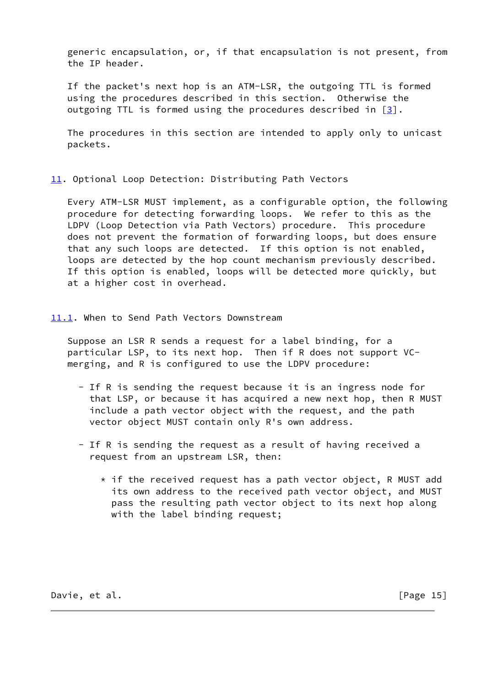generic encapsulation, or, if that encapsulation is not present, from the IP header.

 If the packet's next hop is an ATM-LSR, the outgoing TTL is formed using the procedures described in this section. Otherwise the outgoing TTL is formed using the procedures described in  $[3]$ .

 The procedures in this section are intended to apply only to unicast packets.

<span id="page-16-0"></span>[11.](#page-16-0) Optional Loop Detection: Distributing Path Vectors

 Every ATM-LSR MUST implement, as a configurable option, the following procedure for detecting forwarding loops. We refer to this as the LDPV (Loop Detection via Path Vectors) procedure. This procedure does not prevent the formation of forwarding loops, but does ensure that any such loops are detected. If this option is not enabled, loops are detected by the hop count mechanism previously described. If this option is enabled, loops will be detected more quickly, but at a higher cost in overhead.

<span id="page-16-1"></span>[11.1](#page-16-1). When to Send Path Vectors Downstream

 Suppose an LSR R sends a request for a label binding, for a particular LSP, to its next hop. Then if R does not support VC merging, and R is configured to use the LDPV procedure:

- If R is sending the request because it is an ingress node for that LSP, or because it has acquired a new next hop, then R MUST include a path vector object with the request, and the path vector object MUST contain only R's own address.
- If R is sending the request as a result of having received a request from an upstream LSR, then:
	- $*$  if the received request has a path vector object, R MUST add its own address to the received path vector object, and MUST pass the resulting path vector object to its next hop along with the label binding request;

Davie, et al. [Page 15]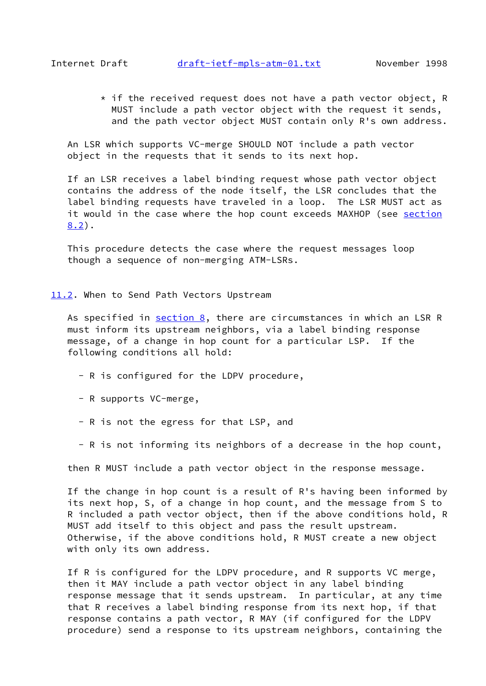<span id="page-17-1"></span> $*$  if the received request does not have a path vector object, R MUST include a path vector object with the request it sends, and the path vector object MUST contain only R's own address.

 An LSR which supports VC-merge SHOULD NOT include a path vector object in the requests that it sends to its next hop.

 If an LSR receives a label binding request whose path vector object contains the address of the node itself, the LSR concludes that the label binding requests have traveled in a loop. The LSR MUST act as it would in the case where the hop count exceeds MAXHOP (see [section](#page-9-0) [8.2](#page-9-0)).

 This procedure detects the case where the request messages loop though a sequence of non-merging ATM-LSRs.

<span id="page-17-0"></span>[11.2](#page-17-0). When to Send Path Vectors Upstream

As specified in [section 8](#page-8-0), there are circumstances in which an LSR R must inform its upstream neighbors, via a label binding response message, of a change in hop count for a particular LSP. If the following conditions all hold:

- R is configured for the LDPV procedure,
- R supports VC-merge,
- R is not the egress for that LSP, and
- R is not informing its neighbors of a decrease in the hop count,

then R MUST include a path vector object in the response message.

 If the change in hop count is a result of R's having been informed by its next hop, S, of a change in hop count, and the message from S to R included a path vector object, then if the above conditions hold, R MUST add itself to this object and pass the result upstream. Otherwise, if the above conditions hold, R MUST create a new object with only its own address.

 If R is configured for the LDPV procedure, and R supports VC merge, then it MAY include a path vector object in any label binding response message that it sends upstream. In particular, at any time that R receives a label binding response from its next hop, if that response contains a path vector, R MAY (if configured for the LDPV procedure) send a response to its upstream neighbors, containing the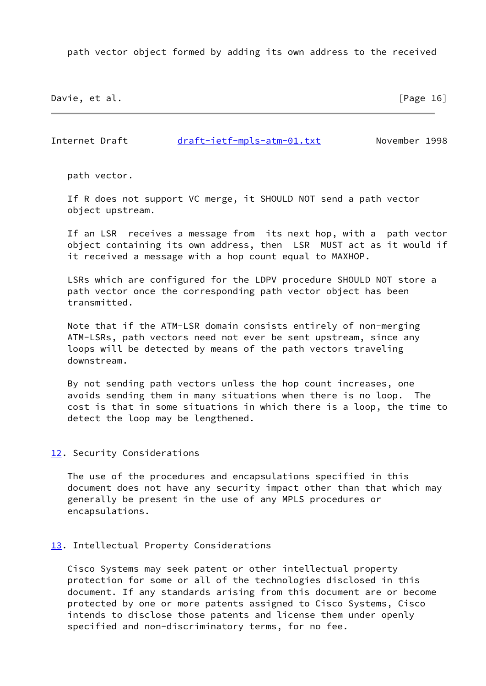path vector object formed by adding its own address to the received

Davie, et al. [Page 16]

<span id="page-18-1"></span>Internet Draft [draft-ietf-mpls-atm-01.txt](https://datatracker.ietf.org/doc/pdf/draft-ietf-mpls-atm-01.txt) November 1998

path vector.

 If R does not support VC merge, it SHOULD NOT send a path vector object upstream.

 If an LSR receives a message from its next hop, with a path vector object containing its own address, then LSR MUST act as it would if it received a message with a hop count equal to MAXHOP.

 LSRs which are configured for the LDPV procedure SHOULD NOT store a path vector once the corresponding path vector object has been transmitted.

 Note that if the ATM-LSR domain consists entirely of non-merging ATM-LSRs, path vectors need not ever be sent upstream, since any loops will be detected by means of the path vectors traveling downstream.

 By not sending path vectors unless the hop count increases, one avoids sending them in many situations when there is no loop. The cost is that in some situations in which there is a loop, the time to detect the loop may be lengthened.

## <span id="page-18-0"></span>[12.](#page-18-0) Security Considerations

 The use of the procedures and encapsulations specified in this document does not have any security impact other than that which may generally be present in the use of any MPLS procedures or encapsulations.

# <span id="page-18-2"></span>[13.](#page-18-2) Intellectual Property Considerations

 Cisco Systems may seek patent or other intellectual property protection for some or all of the technologies disclosed in this document. If any standards arising from this document are or become protected by one or more patents assigned to Cisco Systems, Cisco intends to disclose those patents and license them under openly specified and non-discriminatory terms, for no fee.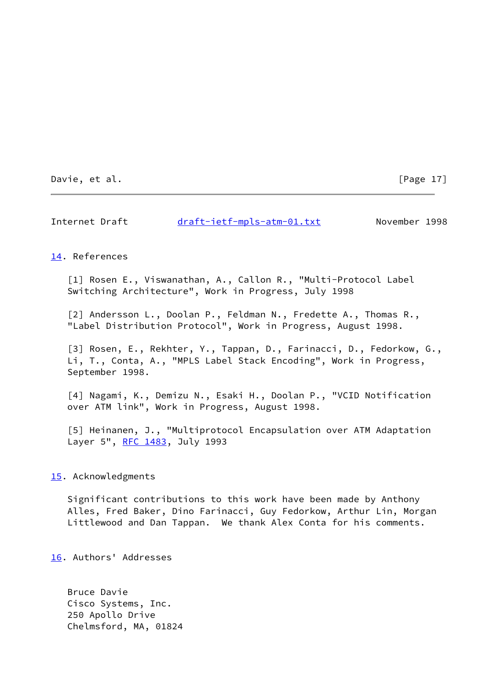Davie, et al. [Page 17]

<span id="page-19-4"></span>Internet Draft [draft-ietf-mpls-atm-01.txt](https://datatracker.ietf.org/doc/pdf/draft-ietf-mpls-atm-01.txt) November 1998

#### <span id="page-19-3"></span>[14.](#page-19-3) References

<span id="page-19-0"></span> [1] Rosen E., Viswanathan, A., Callon R., "Multi-Protocol Label Switching Architecture", Work in Progress, July 1998

<span id="page-19-1"></span> [2] Andersson L., Doolan P., Feldman N., Fredette A., Thomas R., "Label Distribution Protocol", Work in Progress, August 1998.

<span id="page-19-2"></span> [3] Rosen, E., Rekhter, Y., Tappan, D., Farinacci, D., Fedorkow, G., Li, T., Conta, A., "MPLS Label Stack Encoding", Work in Progress, September 1998.

<span id="page-19-8"></span> [4] Nagami, K., Demizu N., Esaki H., Doolan P., "VCID Notification over ATM link", Work in Progress, August 1998.

<span id="page-19-7"></span> [5] Heinanen, J., "Multiprotocol Encapsulation over ATM Adaptation Layer 5", [RFC 1483](https://datatracker.ietf.org/doc/pdf/rfc1483), July 1993

#### <span id="page-19-5"></span>[15.](#page-19-5) Acknowledgments

 Significant contributions to this work have been made by Anthony Alles, Fred Baker, Dino Farinacci, Guy Fedorkow, Arthur Lin, Morgan Littlewood and Dan Tappan. We thank Alex Conta for his comments.

<span id="page-19-6"></span>[16.](#page-19-6) Authors' Addresses

 Bruce Davie Cisco Systems, Inc. 250 Apollo Drive Chelmsford, MA, 01824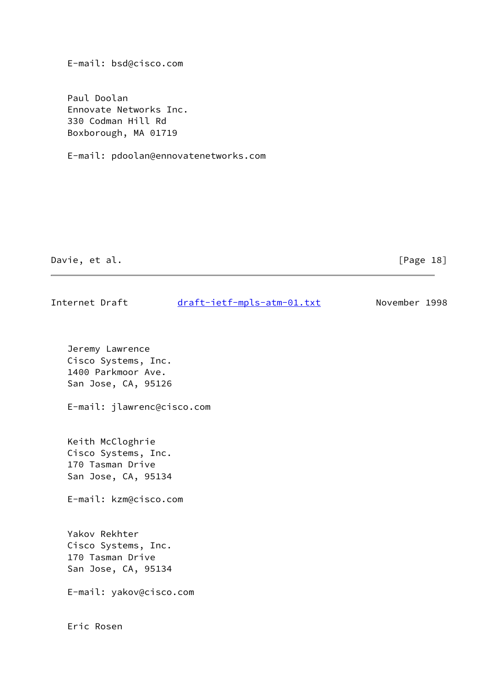E-mail: bsd@cisco.com

 Paul Doolan Ennovate Networks Inc. 330 Codman Hill Rd Boxborough, MA 01719

E-mail: pdoolan@ennovatenetworks.com

Davie, et al. [Page 18]

| Jeremy Lawrence |  |  |  |
|-----------------|--|--|--|

Internet Draft [draft-ietf-mpls-atm-01.txt](https://datatracker.ietf.org/doc/pdf/draft-ietf-mpls-atm-01.txt) November 1998

 Cisco Systems, Inc. 1400 Parkmoor Ave. San Jose, CA, 95126

E-mail: jlawrenc@cisco.com

 Keith McCloghrie Cisco Systems, Inc. 170 Tasman Drive San Jose, CA, 95134

E-mail: kzm@cisco.com

 Yakov Rekhter Cisco Systems, Inc. 170 Tasman Drive San Jose, CA, 95134

E-mail: yakov@cisco.com

Eric Rosen